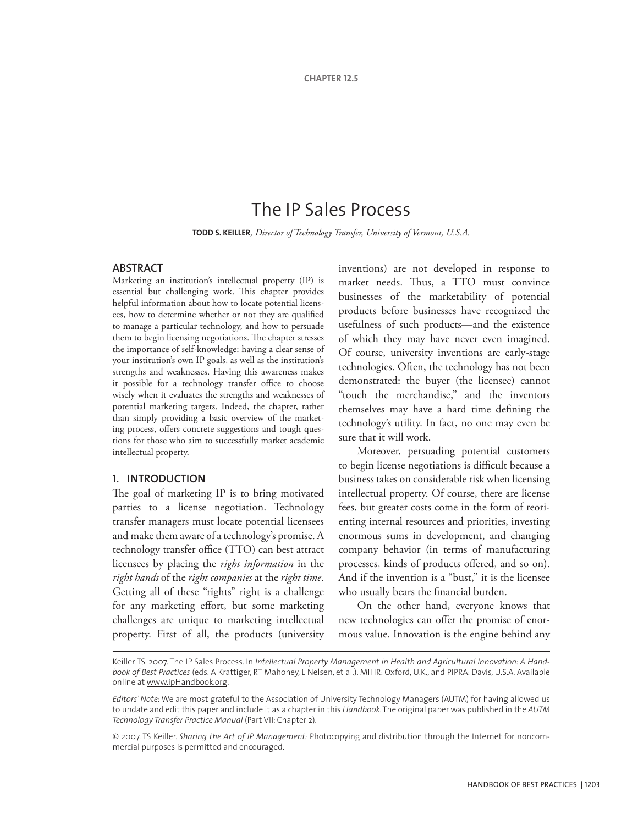# The IP Sales Process

**Todd S. Keiller***, Director of Technology Transfer, University of Vermont, U.S.A.*

# **ABSTRACT**

Marketing an institution's intellectual property (IP) is essential but challenging work. This chapter provides helpful information about how to locate potential licensees, how to determine whether or not they are qualified to manage a particular technology, and how to persuade them to begin licensing negotiations. The chapter stresses the importance of self-knowledge: having a clear sense of your institution's own IP goals, as well as the institution's strengths and weaknesses. Having this awareness makes it possible for a technology transfer office to choose wisely when it evaluates the strengths and weaknesses of potential marketing targets. Indeed, the chapter, rather than simply providing a basic overview of the marketing process, offers concrete suggestions and tough questions for those who aim to successfully market academic intellectual property.

## 1. **INTRODUCTION**

The goal of marketing IP is to bring motivated parties to a license negotiation. Technology transfer managers must locate potential licensees and make them aware of a technology's promise. A technology transfer office (TTO) can best attract licensees by placing the *right information* in the *right hands* of the *right companies* at the *right time*. Getting all of these "rights" right is a challenge for any marketing effort, but some marketing challenges are unique to marketing intellectual property. First of all, the products (university

inventions) are not developed in response to market needs. Thus, a TTO must convince businesses of the marketability of potential products before businesses have recognized the usefulness of such products—and the existence of which they may have never even imagined. Of course, university inventions are early-stage technologies. Often, the technology has not been demonstrated: the buyer (the licensee) cannot "touch the merchandise," and the inventors themselves may have a hard time defining the technology's utility. In fact, no one may even be sure that it will work.

Moreover, persuading potential customers to begin license negotiations is difficult because a business takes on considerable risk when licensing intellectual property. Of course, there are license fees, but greater costs come in the form of reorienting internal resources and priorities, investing enormous sums in development, and changing company behavior (in terms of manufacturing processes, kinds of products offered, and so on). And if the invention is a "bust," it is the licensee who usually bears the financial burden.

On the other hand, everyone knows that new technologies can offer the promise of enormous value. Innovation is the engine behind any

Keiller TS. 2007. The IP Sales Process. In *Intellectual Property Management in Health and Agricultural Innovation: A Handbook of Best Practices* (eds. A Krattiger, RT Mahoney, L Nelsen, et al.). MIHR: Oxford, U.K., and PIPRA: Davis, U.S.A. Available online at www.ipHandbook.org.

*Editors' Note:* We are most grateful to the Association of University Technology Managers (AUTM) for having allowed us to update and edit this paper and include it as a chapter in this *Handbook*. The original paper was published in the *AUTM Technology Transfer Practice Manual* (Part VII: Chapter 2).

<sup>© 2007.</sup> TS Keiller. *Sharing the Art of IP Management:* Photocopying and distribution through the Internet for noncommercial purposes is permitted and encouraged.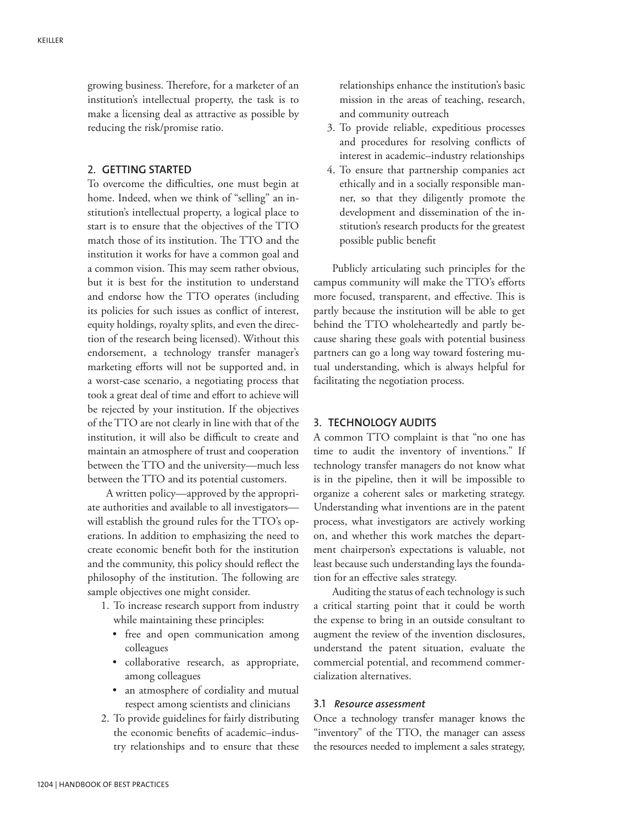growing business. Therefore, for a marketer of an institution's intellectual property, the task is to make a licensing deal as attractive as possible by reducing the risk/promise ratio.

#### 2. **GETTING STARTED**

To overcome the difficulties, one must begin at home. Indeed, when we think of "selling" an institution's intellectual property, a logical place to start is to ensure that the objectives of the TTO match those of its institution. The TTO and the institution it works for have a common goal and a common vision. This may seem rather obvious, but it is best for the institution to understand and endorse how the TTO operates (including its policies for such issues as conflict of interest, equity holdings, royalty splits, and even the direction of the research being licensed). Without this endorsement, a technology transfer manager's marketing efforts will not be supported and, in a worst-case scenario, a negotiating process that took a great deal of time and effort to achieve will be rejected by your institution. If the objectives of the TTO are not clearly in line with that of the institution, it will also be difficult to create and maintain an atmosphere of trust and cooperation between the TTO and the university—much less between the TTO and its potential customers.

A written policy—approved by the appropriate authorities and available to all investigators will establish the ground rules for the TTO's operations. In addition to emphasizing the need to create economic benefit both for the institution and the community, this policy should reflect the philosophy of the institution. The following are sample objectives one might consider.

- 1. To increase research support from industry while maintaining these principles:
	- free and open communication among colleagues
	- collaborative research, as appropriate, among colleagues
	- an atmosphere of cordiality and mutual respect among scientists and clinicians
- 2. To provide guidelines for fairly distributing the economic benefits of academic–industry relationships and to ensure that these

relationships enhance the institution's basic mission in the areas of teaching, research, and community outreach

- 3. To provide reliable, expeditious processes and procedures for resolving conflicts of interest in academic–industry relationships
- 4. To ensure that partnership companies act ethically and in a socially responsible manner, so that they diligently promote the development and dissemination of the institution's research products for the greatest possible public benefit

Publicly articulating such principles for the campus community will make the TTO's efforts more focused, transparent, and effective. This is partly because the institution will be able to get behind the TTO wholeheartedly and partly because sharing these goals with potential business partners can go a long way toward fostering mutual understanding, which is always helpful for facilitating the negotiation process.

# 3. **TECHNOLOGY AUDITS**

A common TTO complaint is that "no one has time to audit the inventory of inventions." If technology transfer managers do not know what is in the pipeline, then it will be impossible to organize a coherent sales or marketing strategy. Understanding what inventions are in the patent process, what investigators are actively working on, and whether this work matches the department chairperson's expectations is valuable, not least because such understanding lays the foundation for an effective sales strategy.

Auditing the status of each technology is such a critical starting point that it could be worth the expense to bring in an outside consultant to augment the review of the invention disclosures, understand the patent situation, evaluate the commercial potential, and recommend commercialization alternatives.

# 3.1 *Resource assessment*

Once a technology transfer manager knows the "inventory" of the TTO, the manager can assess the resources needed to implement a sales strategy,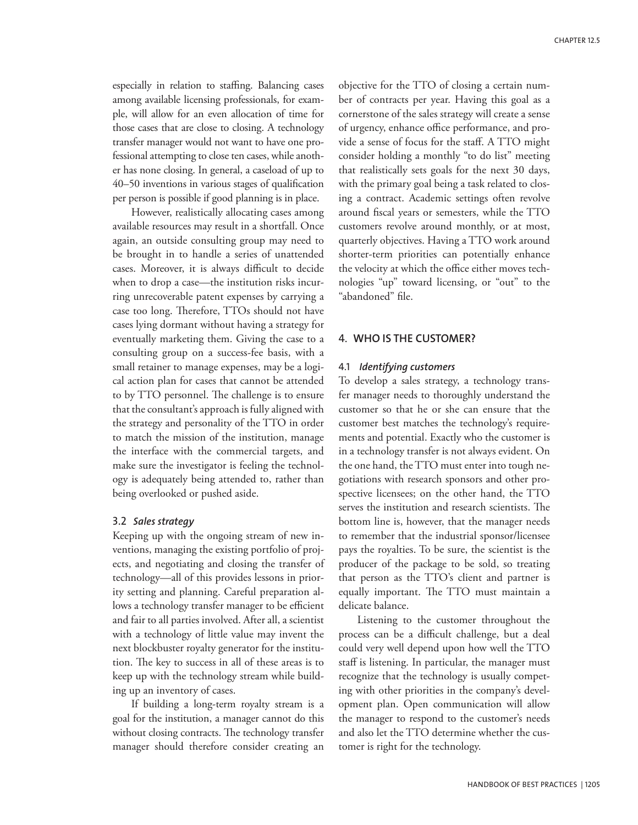especially in relation to staffing. Balancing cases among available licensing professionals, for example, will allow for an even allocation of time for those cases that are close to closing. A technology transfer manager would not want to have one professional attempting to close ten cases, while another has none closing. In general, a caseload of up to 40–50 inventions in various stages of qualification per person is possible if good planning is in place.

However, realistically allocating cases among available resources may result in a shortfall. Once again, an outside consulting group may need to be brought in to handle a series of unattended cases. Moreover, it is always difficult to decide when to drop a case—the institution risks incurring unrecoverable patent expenses by carrying a case too long. Therefore, TTOs should not have cases lying dormant without having a strategy for eventually marketing them. Giving the case to a consulting group on a success-fee basis, with a small retainer to manage expenses, may be a logical action plan for cases that cannot be attended to by TTO personnel. The challenge is to ensure that the consultant's approach is fully aligned with the strategy and personality of the TTO in order to match the mission of the institution, manage the interface with the commercial targets, and make sure the investigator is feeling the technology is adequately being attended to, rather than being overlooked or pushed aside.

## 3.2 *Sales strategy*

Keeping up with the ongoing stream of new inventions, managing the existing portfolio of projects, and negotiating and closing the transfer of technology—all of this provides lessons in priority setting and planning. Careful preparation allows a technology transfer manager to be efficient and fair to all parties involved. After all, a scientist with a technology of little value may invent the next blockbuster royalty generator for the institution. The key to success in all of these areas is to keep up with the technology stream while building up an inventory of cases.

If building a long-term royalty stream is a goal for the institution, a manager cannot do this without closing contracts. The technology transfer manager should therefore consider creating an objective for the TTO of closing a certain number of contracts per year. Having this goal as a cornerstone of the sales strategy will create a sense of urgency, enhance office performance, and provide a sense of focus for the staff. A TTO might consider holding a monthly "to do list" meeting that realistically sets goals for the next 30 days, with the primary goal being a task related to closing a contract. Academic settings often revolve around fiscal years or semesters, while the TTO customers revolve around monthly, or at most, quarterly objectives. Having a TTO work around shorter-term priorities can potentially enhance the velocity at which the office either moves technologies "up" toward licensing, or "out" to the "abandoned" file.

# 4. **WHO IS THE CUSTOMER?**

## 4.1 *Identifying customers*

To develop a sales strategy, a technology transfer manager needs to thoroughly understand the customer so that he or she can ensure that the customer best matches the technology's requirements and potential. Exactly who the customer is in a technology transfer is not always evident. On the one hand, the TTO must enter into tough negotiations with research sponsors and other prospective licensees; on the other hand, the TTO serves the institution and research scientists. The bottom line is, however, that the manager needs to remember that the industrial sponsor/licensee pays the royalties. To be sure, the scientist is the producer of the package to be sold, so treating that person as the TTO's client and partner is equally important. The TTO must maintain a delicate balance.

Listening to the customer throughout the process can be a difficult challenge, but a deal could very well depend upon how well the TTO staff is listening. In particular, the manager must recognize that the technology is usually competing with other priorities in the company's development plan. Open communication will allow the manager to respond to the customer's needs and also let the TTO determine whether the customer is right for the technology.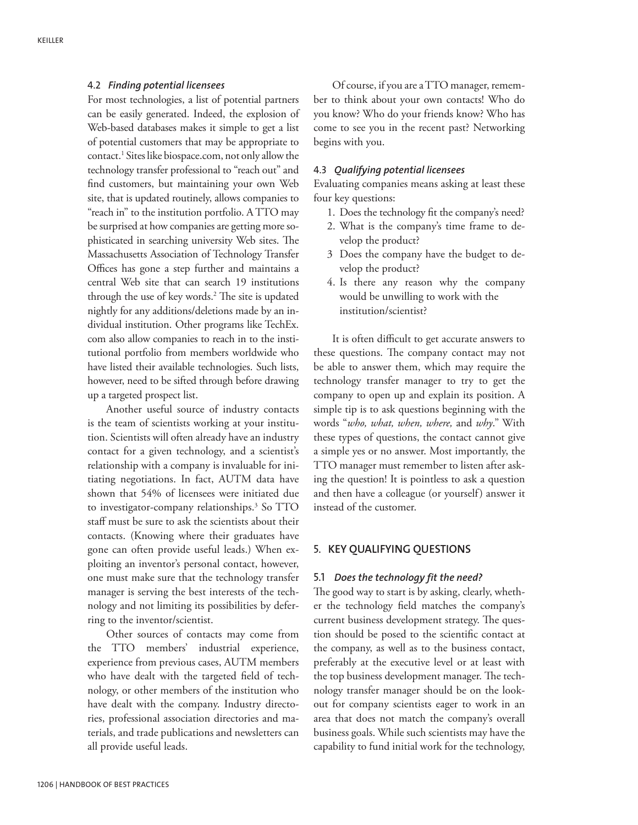## 4.2 *Finding potential licensees*

For most technologies, a list of potential partners can be easily generated. Indeed, the explosion of Web-based databases makes it simple to get a list of potential customers that may be appropriate to contact.1 Sites like biospace.com, not only allow the technology transfer professional to "reach out" and find customers, but maintaining your own Web site, that is updated routinely, allows companies to "reach in" to the institution portfolio. A TTO may be surprised at how companies are getting more sophisticated in searching university Web sites. The Massachusetts Association of Technology Transfer Offices has gone a step further and maintains a central Web site that can search 19 institutions through the use of key words.2 The site is updated nightly for any additions/deletions made by an individual institution. Other programs like TechEx. com also allow companies to reach in to the institutional portfolio from members worldwide who have listed their available technologies. Such lists, however, need to be sifted through before drawing up a targeted prospect list.

Another useful source of industry contacts is the team of scientists working at your institution. Scientists will often already have an industry contact for a given technology, and a scientist's relationship with a company is invaluable for initiating negotiations. In fact, AUTM data have shown that 54% of licensees were initiated due to investigator-company relationships.<sup>3</sup> So TTO staff must be sure to ask the scientists about their contacts. (Knowing where their graduates have gone can often provide useful leads.) When exploiting an inventor's personal contact, however, one must make sure that the technology transfer manager is serving the best interests of the technology and not limiting its possibilities by deferring to the inventor/scientist.

Other sources of contacts may come from the TTO members' industrial experience, experience from previous cases, AUTM members who have dealt with the targeted field of technology, or other members of the institution who have dealt with the company. Industry directories, professional association directories and materials, and trade publications and newsletters can all provide useful leads.

Of course, if you are a TTO manager, remember to think about your own contacts! Who do you know? Who do your friends know? Who has come to see you in the recent past? Networking begins with you.

### 4.3 *Qualifying potential licensees*

Evaluating companies means asking at least these four key questions:

- 1. Does the technology fit the company's need?
- 2. What is the company's time frame to develop the product?
- 3 Does the company have the budget to develop the product?
- 4. Is there any reason why the company would be unwilling to work with the institution/scientist?

It is often difficult to get accurate answers to these questions. The company contact may not be able to answer them, which may require the technology transfer manager to try to get the company to open up and explain its position. A simple tip is to ask questions beginning with the words "*who, what, when, where,* and *why*." With these types of questions, the contact cannot give a simple yes or no answer. Most importantly, the TTO manager must remember to listen after asking the question! It is pointless to ask a question and then have a colleague (or yourself) answer it instead of the customer.

# 5. **KEY QUALIFYING QUESTIONS**

# 5.1 *Does the technology fit the need?*

The good way to start is by asking, clearly, whether the technology field matches the company's current business development strategy. The question should be posed to the scientific contact at the company, as well as to the business contact, preferably at the executive level or at least with the top business development manager. The technology transfer manager should be on the lookout for company scientists eager to work in an area that does not match the company's overall business goals. While such scientists may have the capability to fund initial work for the technology,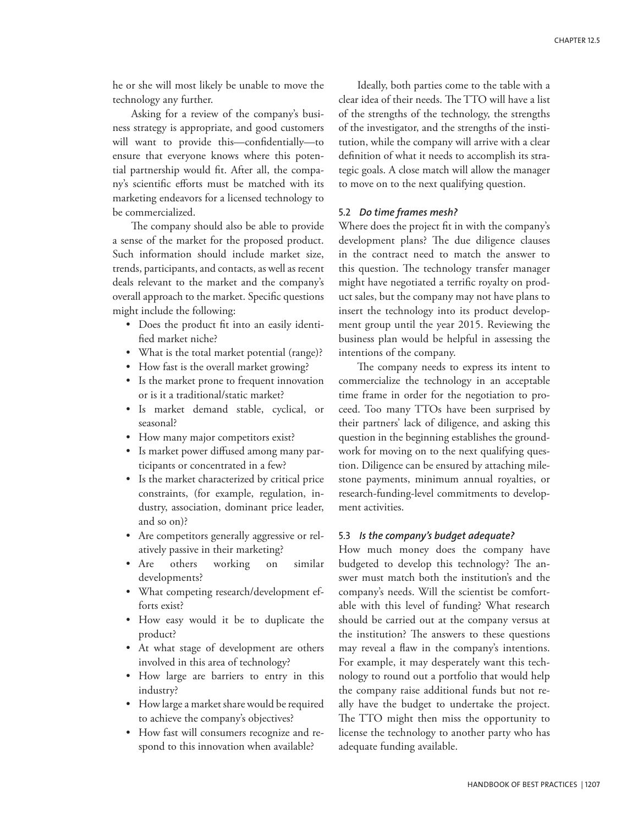he or she will most likely be unable to move the technology any further.

Asking for a review of the company's business strategy is appropriate, and good customers will want to provide this—confidentially—to ensure that everyone knows where this potential partnership would fit. After all, the company's scientific efforts must be matched with its marketing endeavors for a licensed technology to be commercialized.

The company should also be able to provide a sense of the market for the proposed product. Such information should include market size, trends, participants, and contacts, as well as recent deals relevant to the market and the company's overall approach to the market. Specific questions might include the following:

- Does the product fit into an easily identified market niche?
- What is the total market potential (range)?
- How fast is the overall market growing?
- Is the market prone to frequent innovation or is it a traditional/static market?
- Is market demand stable, cyclical, or seasonal?
- How many major competitors exist?
- Is market power diffused among many participants or concentrated in a few?
- Is the market characterized by critical price constraints, (for example, regulation, industry, association, dominant price leader, and so on)?
- Are competitors generally aggressive or relatively passive in their marketing?
- Are others working on similar developments?
- What competing research/development efforts exist?
- How easy would it be to duplicate the product?
- At what stage of development are others involved in this area of technology?
- How large are barriers to entry in this industry?
- How large a market share would be required to achieve the company's objectives?
- How fast will consumers recognize and respond to this innovation when available?

Ideally, both parties come to the table with a clear idea of their needs. The TTO will have a list of the strengths of the technology, the strengths of the investigator, and the strengths of the institution, while the company will arrive with a clear definition of what it needs to accomplish its strategic goals. A close match will allow the manager to move on to the next qualifying question.

# 5.2 *Do time frames mesh?*

Where does the project fit in with the company's development plans? The due diligence clauses in the contract need to match the answer to this question. The technology transfer manager might have negotiated a terrific royalty on product sales, but the company may not have plans to insert the technology into its product development group until the year 2015. Reviewing the business plan would be helpful in assessing the intentions of the company.

The company needs to express its intent to commercialize the technology in an acceptable time frame in order for the negotiation to proceed. Too many TTOs have been surprised by their partners' lack of diligence, and asking this question in the beginning establishes the groundwork for moving on to the next qualifying question. Diligence can be ensured by attaching milestone payments, minimum annual royalties, or research-funding-level commitments to development activities.

#### 5.3 *Is the company's budget adequate?*

How much money does the company have budgeted to develop this technology? The answer must match both the institution's and the company's needs. Will the scientist be comfortable with this level of funding? What research should be carried out at the company versus at the institution? The answers to these questions may reveal a flaw in the company's intentions. For example, it may desperately want this technology to round out a portfolio that would help the company raise additional funds but not really have the budget to undertake the project. The TTO might then miss the opportunity to license the technology to another party who has adequate funding available.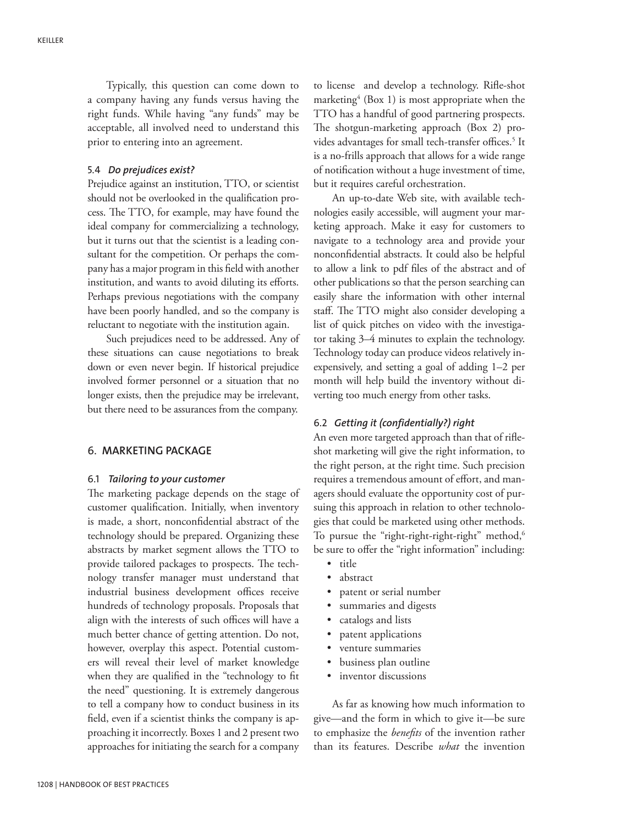Typically, this question can come down to a company having any funds versus having the right funds. While having "any funds" may be acceptable, all involved need to understand this prior to entering into an agreement.

## 5.4 *Do prejudices exist?*

Prejudice against an institution, TTO, or scientist should not be overlooked in the qualification process. The TTO, for example, may have found the ideal company for commercializing a technology, but it turns out that the scientist is a leading consultant for the competition. Or perhaps the company has a major program in this field with another institution, and wants to avoid diluting its efforts. Perhaps previous negotiations with the company have been poorly handled, and so the company is reluctant to negotiate with the institution again.

Such prejudices need to be addressed. Any of these situations can cause negotiations to break down or even never begin. If historical prejudice involved former personnel or a situation that no longer exists, then the prejudice may be irrelevant, but there need to be assurances from the company.

## 6. **MARKETING PACKAGE**

## 6.1 *Tailoring to your customer*

The marketing package depends on the stage of customer qualification. Initially, when inventory is made, a short, nonconfidential abstract of the technology should be prepared. Organizing these abstracts by market segment allows the TTO to provide tailored packages to prospects. The technology transfer manager must understand that industrial business development offices receive hundreds of technology proposals. Proposals that align with the interests of such offices will have a much better chance of getting attention. Do not, however, overplay this aspect. Potential customers will reveal their level of market knowledge when they are qualified in the "technology to fit the need" questioning. It is extremely dangerous to tell a company how to conduct business in its field, even if a scientist thinks the company is approaching it incorrectly. Boxes 1 and 2 present two approaches for initiating the search for a company

to license and develop a technology. Rifle-shot marketing<sup>4</sup> (Box 1) is most appropriate when the TTO has a handful of good partnering prospects. The shotgun-marketing approach (Box 2) provides advantages for small tech-transfer offices.<sup>5</sup> It is a no-frills approach that allows for a wide range of notification without a huge investment of time, but it requires careful orchestration.

An up-to-date Web site, with available technologies easily accessible, will augment your marketing approach. Make it easy for customers to navigate to a technology area and provide your nonconfidential abstracts. It could also be helpful to allow a link to pdf files of the abstract and of other publications so that the person searching can easily share the information with other internal staff. The TTO might also consider developing a list of quick pitches on video with the investigator taking 3–4 minutes to explain the technology. Technology today can produce videos relatively inexpensively, and setting a goal of adding 1–2 per month will help build the inventory without diverting too much energy from other tasks.

#### 6.2 *Getting it (confidentially?) right*

An even more targeted approach than that of rifleshot marketing will give the right information, to the right person, at the right time. Such precision requires a tremendous amount of effort, and managers should evaluate the opportunity cost of pursuing this approach in relation to other technologies that could be marketed using other methods. To pursue the "right-right-right-right" method, $6$ be sure to offer the "right information" including:

- title
- abstract
- patent or serial number
- summaries and digests
- catalogs and lists
- patent applications
- venture summaries
- business plan outline
- inventor discussions

As far as knowing how much information to give—and the form in which to give it—be sure to emphasize the *benefits* of the invention rather than its features. Describe *what* the invention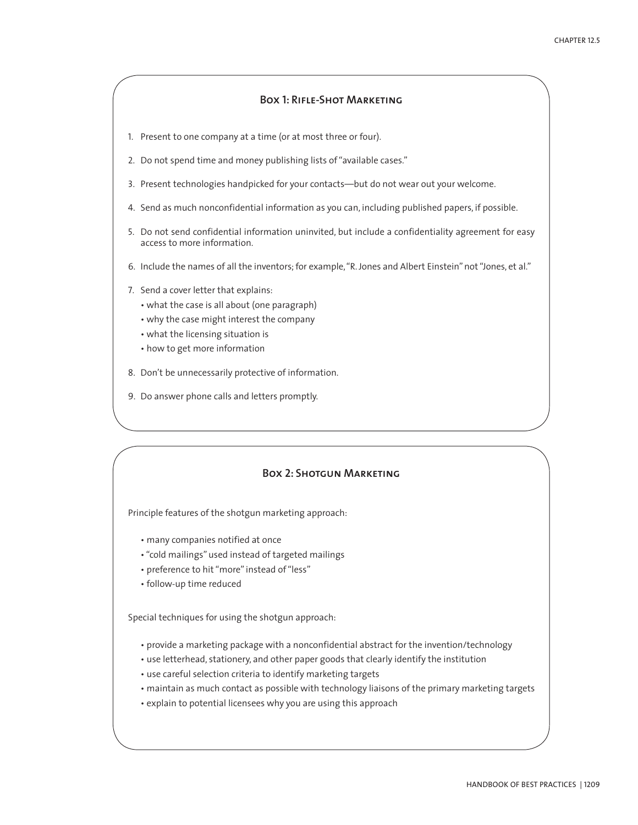# **Box 1: Rifle-Shot Marketing**

- 1. Present to one company at a time (or at most three or four).
- 2. Do not spend time and money publishing lists of "available cases."
- 3. Present technologies handpicked for your contacts—but do not wear out your welcome.
- 4. Send as much nonconfidential information as you can, including published papers, if possible.
- 5. Do not send confidential information uninvited, but include a confidentiality agreement for easy access to more information.
- 6. Include the names of all the inventors; for example, "R. Jones and Albert Einstein" not "Jones, et al."
- 7. Send a cover letter that explains:
	- what the case is all about (one paragraph)
	- why the case might interest the company
	- what the licensing situation is
	- how to get more information
- 8. Don't be unnecessarily protective of information.
- 9. Do answer phone calls and letters promptly.

## **Box 2: Shotgun Marketing**

Principle features of the shotgun marketing approach:

- many companies notified at once
- "cold mailings" used instead of targeted mailings
- preference to hit "more" instead of "less"
- follow-up time reduced

Special techniques for using the shotgun approach:

- provide a marketing package with a nonconfidential abstract for the invention/technology
- use letterhead, stationery, and other paper goods that clearly identify the institution
- use careful selection criteria to identify marketing targets
- maintain as much contact as possible with technology liaisons of the primary marketing targets
- explain to potential licensees why you are using this approach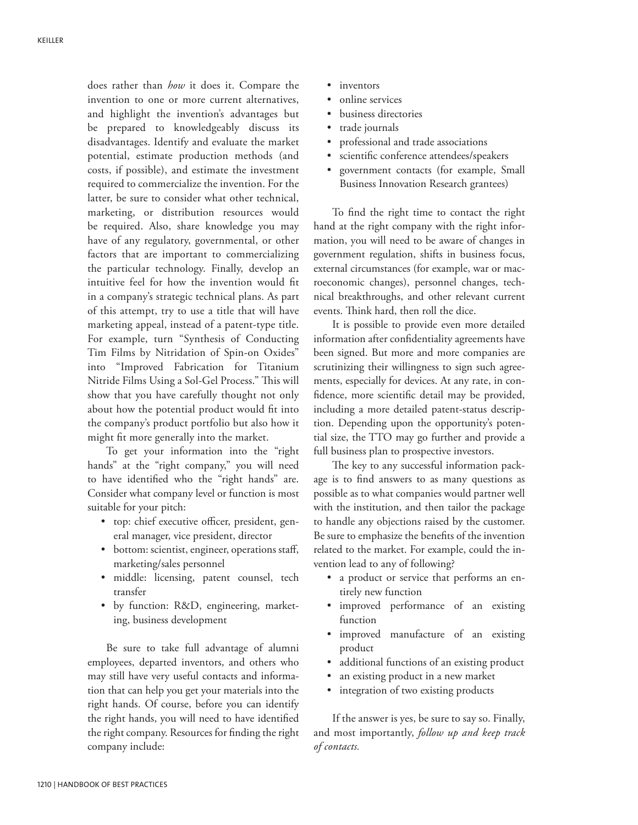does rather than *how* it does it. Compare the invention to one or more current alternatives, and highlight the invention's advantages but be prepared to knowledgeably discuss its disadvantages. Identify and evaluate the market potential, estimate production methods (and costs, if possible), and estimate the investment required to commercialize the invention. For the latter, be sure to consider what other technical, marketing, or distribution resources would be required. Also, share knowledge you may have of any regulatory, governmental, or other factors that are important to commercializing the particular technology. Finally, develop an intuitive feel for how the invention would fit in a company's strategic technical plans. As part of this attempt, try to use a title that will have marketing appeal, instead of a patent-type title. For example, turn "Synthesis of Conducting Tim Films by Nitridation of Spin-on Oxides" into "Improved Fabrication for Titanium Nitride Films Using a Sol-Gel Process." This will show that you have carefully thought not only about how the potential product would fit into the company's product portfolio but also how it might fit more generally into the market.

To get your information into the "right hands" at the "right company," you will need to have identified who the "right hands" are. Consider what company level or function is most suitable for your pitch:

- top: chief executive officer, president, general manager, vice president, director
- bottom: scientist, engineer, operations staff, marketing/sales personnel
- middle: licensing, patent counsel, tech transfer
- by function: R&D, engineering, marketing, business development

Be sure to take full advantage of alumni employees, departed inventors, and others who may still have very useful contacts and information that can help you get your materials into the right hands. Of course, before you can identify the right hands, you will need to have identified the right company. Resources for finding the right company include:

- inventors
- online services
- business directories
- trade journals
- professional and trade associations
- scientific conference attendees/speakers
- government contacts (for example, Small Business Innovation Research grantees)

To find the right time to contact the right hand at the right company with the right information, you will need to be aware of changes in government regulation, shifts in business focus, external circumstances (for example, war or macroeconomic changes), personnel changes, technical breakthroughs, and other relevant current events. Think hard, then roll the dice.

It is possible to provide even more detailed information after confidentiality agreements have been signed. But more and more companies are scrutinizing their willingness to sign such agreements, especially for devices. At any rate, in confidence, more scientific detail may be provided, including a more detailed patent-status description. Depending upon the opportunity's potential size, the TTO may go further and provide a full business plan to prospective investors.

The key to any successful information package is to find answers to as many questions as possible as to what companies would partner well with the institution, and then tailor the package to handle any objections raised by the customer. Be sure to emphasize the benefits of the invention related to the market. For example, could the invention lead to any of following?

- a product or service that performs an entirely new function
- improved performance of an existing function
- improved manufacture of an existing product
- additional functions of an existing product
- an existing product in a new market
- integration of two existing products

If the answer is yes, be sure to say so. Finally, and most importantly, *follow up and keep track of contacts.*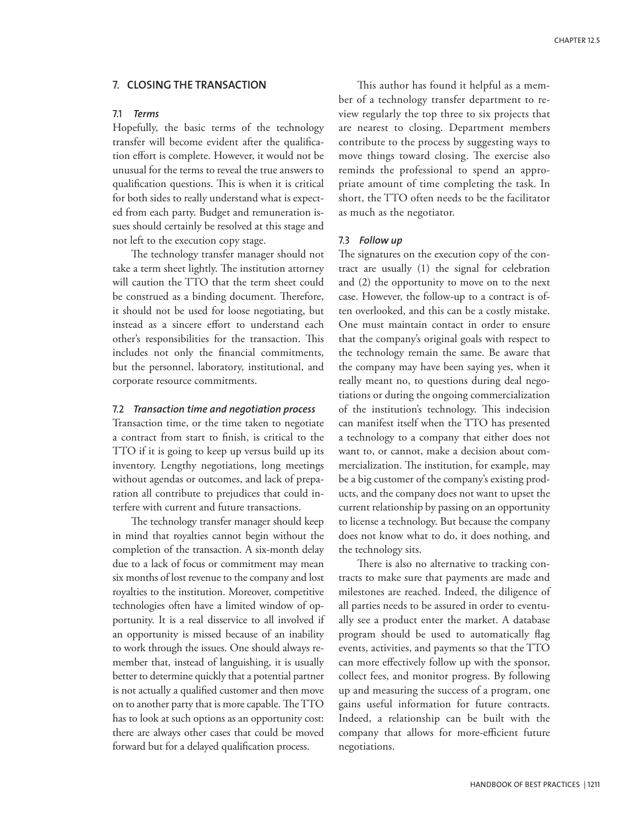# 7. **CLOSING THE TRANSACTION**

# 7.1 *Terms*

Hopefully, the basic terms of the technology transfer will become evident after the qualification effort is complete. However, it would not be unusual for the terms to reveal the true answers to qualification questions. This is when it is critical for both sides to really understand what is expected from each party. Budget and remuneration issues should certainly be resolved at this stage and not left to the execution copy stage.

The technology transfer manager should not take a term sheet lightly. The institution attorney will caution the TTO that the term sheet could be construed as a binding document. Therefore, it should not be used for loose negotiating, but instead as a sincere effort to understand each other's responsibilities for the transaction. This includes not only the financial commitments, but the personnel, laboratory, institutional, and corporate resource commitments.

#### 7.2 *Transaction time and negotiation process*

Transaction time, or the time taken to negotiate a contract from start to finish, is critical to the TTO if it is going to keep up versus build up its inventory. Lengthy negotiations, long meetings without agendas or outcomes, and lack of preparation all contribute to prejudices that could interfere with current and future transactions.

The technology transfer manager should keep in mind that royalties cannot begin without the completion of the transaction. A six-month delay due to a lack of focus or commitment may mean six months of lost revenue to the company and lost royalties to the institution. Moreover, competitive technologies often have a limited window of opportunity. It is a real disservice to all involved if an opportunity is missed because of an inability to work through the issues. One should always remember that, instead of languishing, it is usually better to determine quickly that a potential partner is not actually a qualified customer and then move on to another party that is more capable. The TTO has to look at such options as an opportunity cost: there are always other cases that could be moved forward but for a delayed qualification process.

This author has found it helpful as a member of a technology transfer department to review regularly the top three to six projects that are nearest to closing. Department members contribute to the process by suggesting ways to move things toward closing. The exercise also reminds the professional to spend an appropriate amount of time completing the task. In short, the TTO often needs to be the facilitator as much as the negotiator.

#### 7.3 *Follow up*

The signatures on the execution copy of the contract are usually (1) the signal for celebration and (2) the opportunity to move on to the next case. However, the follow-up to a contract is often overlooked, and this can be a costly mistake. One must maintain contact in order to ensure that the company's original goals with respect to the technology remain the same. Be aware that the company may have been saying yes, when it really meant no, to questions during deal negotiations or during the ongoing commercialization of the institution's technology. This indecision can manifest itself when the TTO has presented a technology to a company that either does not want to, or cannot, make a decision about commercialization. The institution, for example, may be a big customer of the company's existing products, and the company does not want to upset the current relationship by passing on an opportunity to license a technology. But because the company does not know what to do, it does nothing, and the technology sits.

There is also no alternative to tracking contracts to make sure that payments are made and milestones are reached. Indeed, the diligence of all parties needs to be assured in order to eventually see a product enter the market. A database program should be used to automatically flag events, activities, and payments so that the TTO can more effectively follow up with the sponsor, collect fees, and monitor progress. By following up and measuring the success of a program, one gains useful information for future contracts. Indeed, a relationship can be built with the company that allows for more-efficient future negotiations.